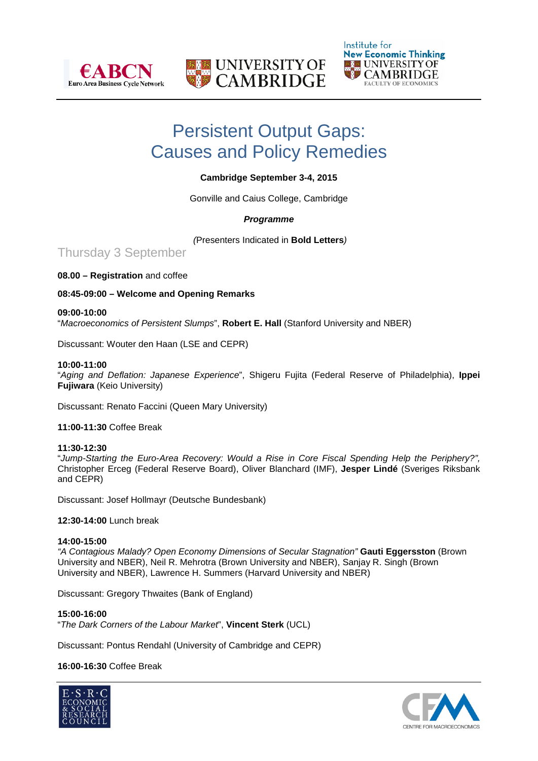





# Persistent Output Gaps: Causes and Policy Remedies

# **Cambridge September 3-4, 2015**

Gonville and Caius College, Cambridge

# *Programme*

*(*Presenters Indicated in **Bold Letters***)*

Thursday 3 September

# **08.00 – Registration** and coffee

# **08:45-09:00 – Welcome and Opening Remarks**

# **09:00-10:00**

"*Macroeconomics of Persistent Slumps*", **Robert E. Hall** (Stanford University and NBER)

Discussant: Wouter den Haan (LSE and CEPR)

# **10:00-11:00**

"*Aging and Deflation: Japanese Experience*", Shigeru Fujita (Federal Reserve of Philadelphia), **Ippei Fujiwara** (Keio University)

Discussant: Renato Faccini (Queen Mary University)

**11:00-11:30** Coffee Break

**11:30-12:30** "*Jump-Starting the Euro-Area Recovery: Would a Rise in Core Fiscal Spending Help the Periphery?",* Christopher Erceg (Federal Reserve Board), Oliver Blanchard (IMF), **Jesper Lindé** (Sveriges Riksbank and CEPR)

Discussant: Josef Hollmayr (Deutsche Bundesbank)

# **12:30-14:00** Lunch break

### **14:00-15:00**

*"A Contagious Malady? Open Economy Dimensions of Secular Stagnation"* **Gauti Eggersston** (Brown University and NBER), Neil R. Mehrotra (Brown University and NBER), Sanjay R. Singh (Brown University and NBER), Lawrence H. Summers (Harvard University and NBER)

Discussant: Gregory Thwaites (Bank of England)

### **15:00-16:00**

"*The Dark Corners of the Labour Market*", **Vincent Sterk** (UCL)

Discussant: Pontus Rendahl (University of Cambridge and CEPR)

# **16:00-16:30** Coffee Break